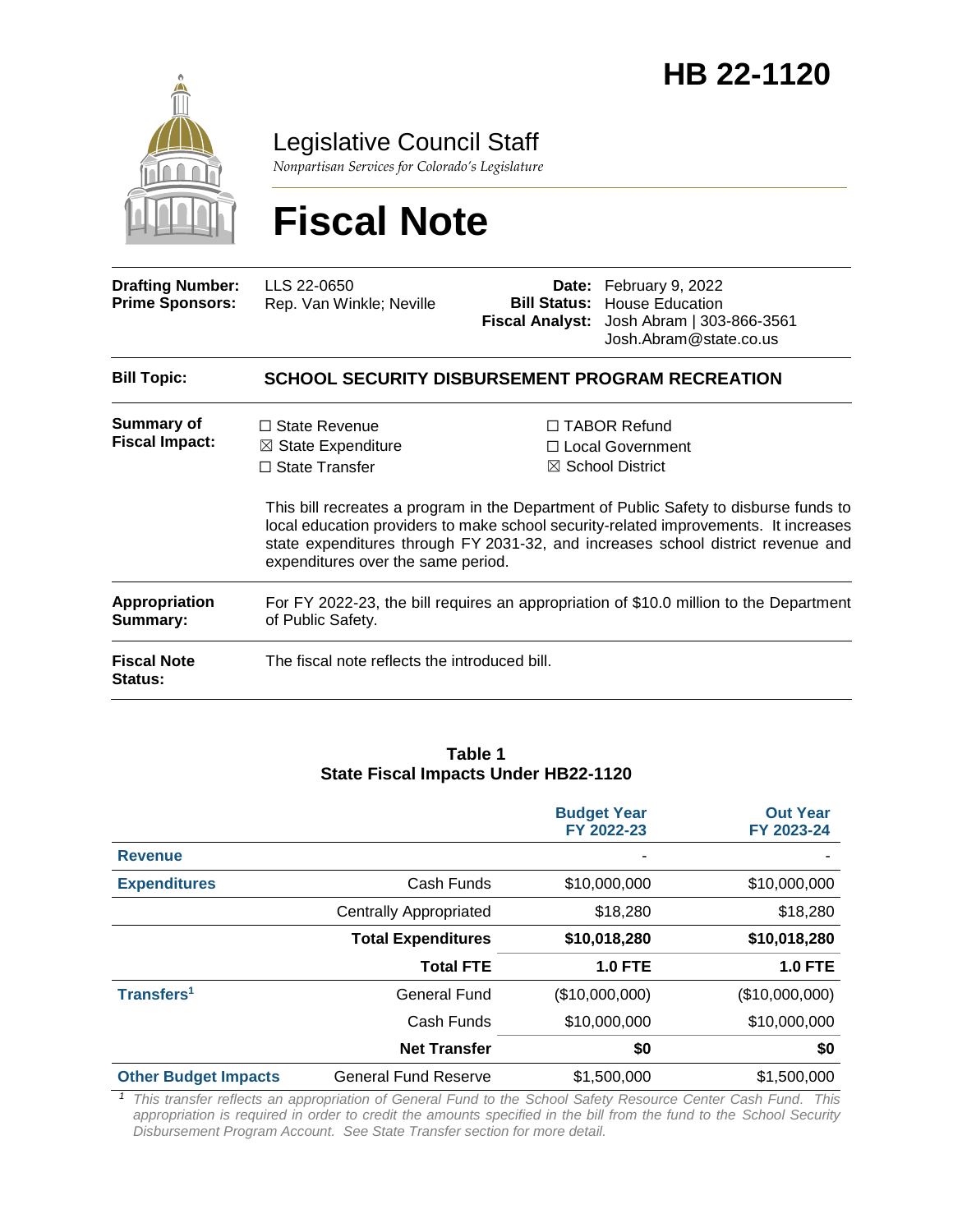

Legislative Council Staff

*Nonpartisan Services for Colorado's Legislature*

# **Fiscal Note**

| <b>Drafting Number:</b><br><b>Prime Sponsors:</b> | LLS 22-0650<br>Rep. Van Winkle; Neville                                                                              |  | Date: February 9, 2022<br><b>Bill Status: House Education</b><br>Fiscal Analyst: Josh Abram   303-866-3561<br>Josh.Abram@state.co.us                                                                                                                                                                                                          |  |  |  |
|---------------------------------------------------|----------------------------------------------------------------------------------------------------------------------|--|-----------------------------------------------------------------------------------------------------------------------------------------------------------------------------------------------------------------------------------------------------------------------------------------------------------------------------------------------|--|--|--|
| <b>Bill Topic:</b>                                | <b>SCHOOL SECURITY DISBURSEMENT PROGRAM RECREATION</b>                                                               |  |                                                                                                                                                                                                                                                                                                                                               |  |  |  |
| Summary of<br><b>Fiscal Impact:</b>               | $\Box$ State Revenue<br>$\boxtimes$ State Expenditure<br>$\Box$ State Transfer<br>expenditures over the same period. |  | $\Box$ TABOR Refund<br>□ Local Government<br>$\boxtimes$ School District<br>This bill recreates a program in the Department of Public Safety to disburse funds to<br>local education providers to make school security-related improvements. It increases<br>state expenditures through FY 2031-32, and increases school district revenue and |  |  |  |
| <b>Appropriation</b><br>Summary:                  | For FY 2022-23, the bill requires an appropriation of \$10.0 million to the Department<br>of Public Safety.          |  |                                                                                                                                                                                                                                                                                                                                               |  |  |  |
| <b>Fiscal Note</b><br>Status:                     | The fiscal note reflects the introduced bill.                                                                        |  |                                                                                                                                                                                                                                                                                                                                               |  |  |  |

#### **Table 1 State Fiscal Impacts Under HB22-1120**

|                             |                               | <b>Budget Year</b><br>FY 2022-23 | <b>Out Year</b><br>FY 2023-24 |
|-----------------------------|-------------------------------|----------------------------------|-------------------------------|
| <b>Revenue</b>              |                               | ۰                                |                               |
| <b>Expenditures</b>         | Cash Funds                    | \$10,000,000                     | \$10,000,000                  |
|                             | <b>Centrally Appropriated</b> | \$18,280                         | \$18,280                      |
|                             | <b>Total Expenditures</b>     | \$10,018,280                     | \$10,018,280                  |
|                             | <b>Total FTE</b>              | <b>1.0 FTE</b>                   | <b>1.0 FTE</b>                |
| Transfers <sup>1</sup>      | <b>General Fund</b>           | (\$10,000,000)                   | (\$10,000,000)                |
|                             | Cash Funds                    | \$10,000,000                     | \$10,000,000                  |
|                             | <b>Net Transfer</b>           | \$0                              | \$0                           |
| <b>Other Budget Impacts</b> | <b>General Fund Reserve</b>   | \$1,500,000                      | \$1,500,000                   |

*<sup>1</sup> This transfer reflects an appropriation of General Fund to the School Safety Resource Center Cash Fund. This*  appropriation is required in order to credit the amounts specified in the bill from the fund to the School Security *Disbursement Program Account. See State Transfer section for more detail.*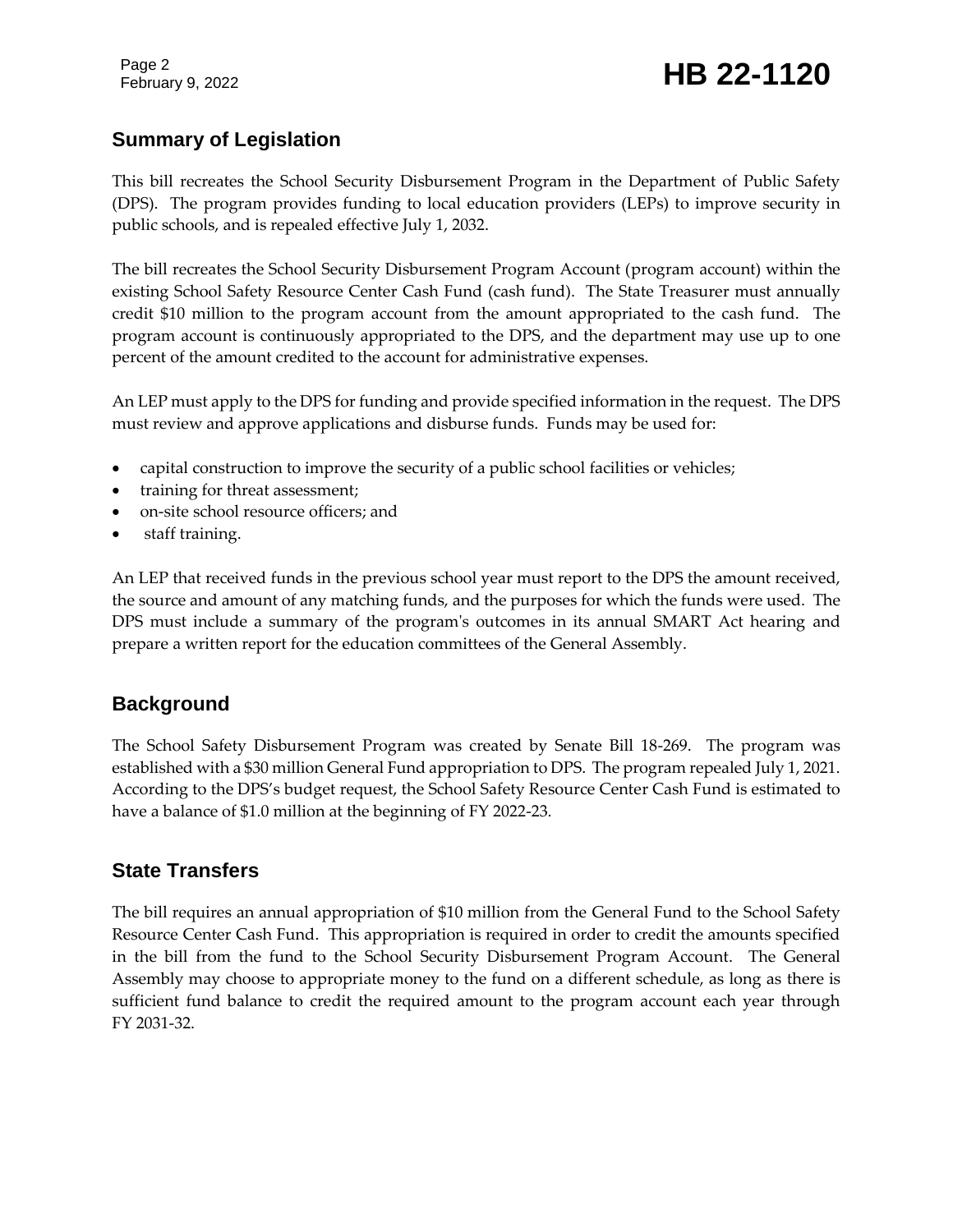# **Summary of Legislation**

This bill recreates the School Security Disbursement Program in the Department of Public Safety (DPS). The program provides funding to local education providers (LEPs) to improve security in public schools, and is repealed effective July 1, 2032.

The bill recreates the School Security Disbursement Program Account (program account) within the existing School Safety Resource Center Cash Fund (cash fund). The State Treasurer must annually credit \$10 million to the program account from the amount appropriated to the cash fund. The program account is continuously appropriated to the DPS, and the department may use up to one percent of the amount credited to the account for administrative expenses.

An LEP must apply to the DPS for funding and provide specified information in the request. The DPS must review and approve applications and disburse funds. Funds may be used for:

- capital construction to improve the security of a public school facilities or vehicles;
- training for threat assessment;
- on-site school resource officers; and
- staff training.

An LEP that received funds in the previous school year must report to the DPS the amount received, the source and amount of any matching funds, and the purposes for which the funds were used. The DPS must include a summary of the program's outcomes in its annual SMART Act hearing and prepare a written report for the education committees of the General Assembly.

# **Background**

The School Safety Disbursement Program was created by Senate Bill 18-269. The program was established with a \$30 million General Fund appropriation to DPS. The program repealed July 1, 2021. According to the DPS's budget request, the School Safety Resource Center Cash Fund is estimated to have a balance of \$1.0 million at the beginning of FY 2022-23.

# **State Transfers**

The bill requires an annual appropriation of \$10 million from the General Fund to the School Safety Resource Center Cash Fund. This appropriation is required in order to credit the amounts specified in the bill from the fund to the School Security Disbursement Program Account. The General Assembly may choose to appropriate money to the fund on a different schedule, as long as there is sufficient fund balance to credit the required amount to the program account each year through FY 2031-32.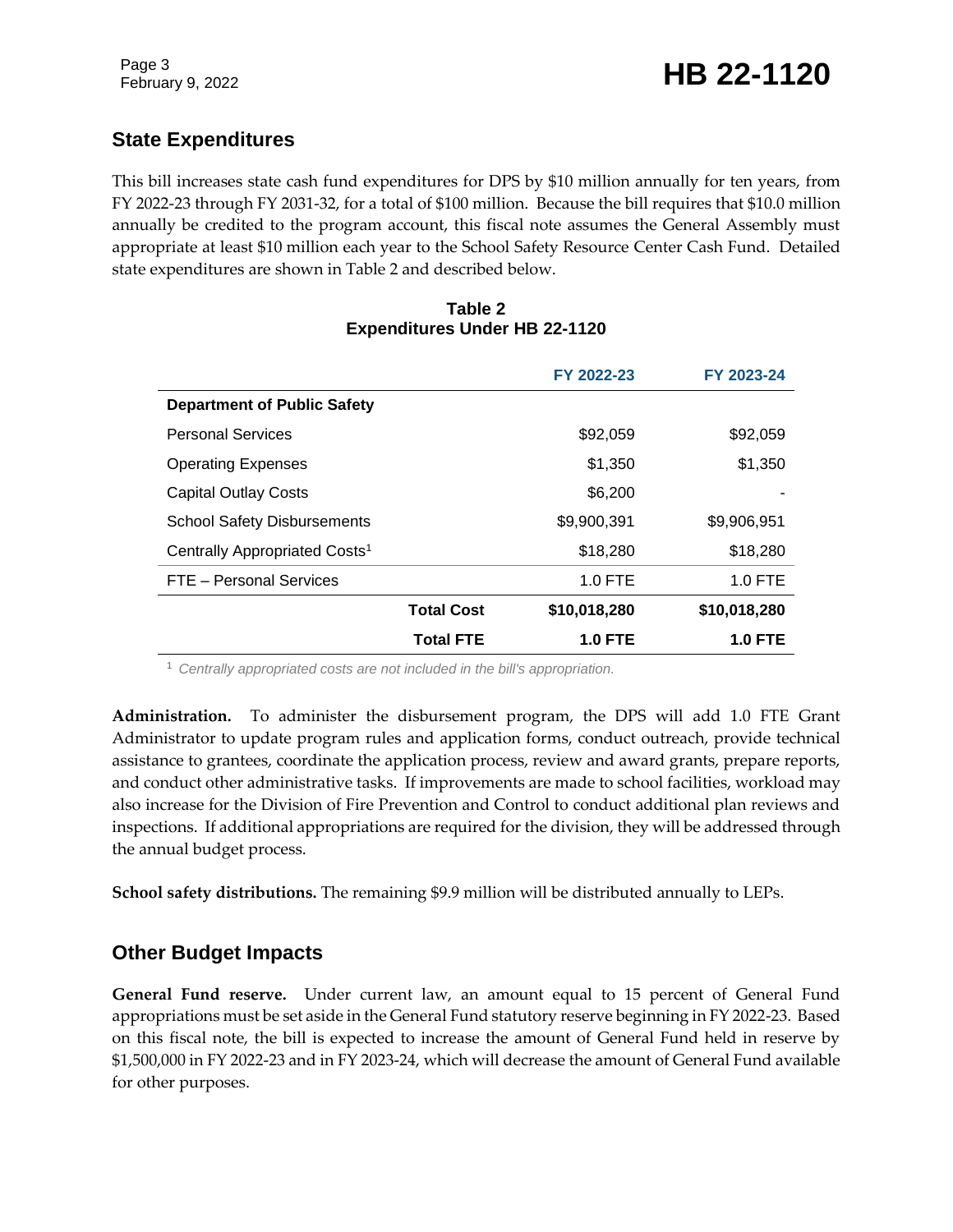# **State Expenditures**

This bill increases state cash fund expenditures for DPS by \$10 million annually for ten years, from FY 2022-23 through FY 2031-32, for a total of \$100 million. Because the bill requires that \$10.0 million annually be credited to the program account, this fiscal note assumes the General Assembly must appropriate at least \$10 million each year to the School Safety Resource Center Cash Fund. Detailed state expenditures are shown in Table 2 and described below.

#### **Table 2 Expenditures Under HB 22-1120**

|                                           |                   | FY 2022-23     | FY 2023-24     |
|-------------------------------------------|-------------------|----------------|----------------|
| <b>Department of Public Safety</b>        |                   |                |                |
| <b>Personal Services</b>                  |                   | \$92,059       | \$92,059       |
| <b>Operating Expenses</b>                 |                   | \$1,350        | \$1,350        |
| <b>Capital Outlay Costs</b>               |                   | \$6,200        |                |
| <b>School Safety Disbursements</b>        |                   | \$9,900,391    | \$9,906,951    |
| Centrally Appropriated Costs <sup>1</sup> |                   | \$18,280       | \$18,280       |
| FTE - Personal Services                   |                   | $1.0$ FTE      | $1.0$ FTE      |
|                                           | <b>Total Cost</b> | \$10,018,280   | \$10,018,280   |
|                                           | <b>Total FTE</b>  | <b>1.0 FTE</b> | <b>1.0 FTE</b> |

<sup>1</sup> *Centrally appropriated costs are not included in the bill's appropriation.*

**Administration.** To administer the disbursement program, the DPS will add 1.0 FTE Grant Administrator to update program rules and application forms, conduct outreach, provide technical assistance to grantees, coordinate the application process, review and award grants, prepare reports, and conduct other administrative tasks. If improvements are made to school facilities, workload may also increase for the Division of Fire Prevention and Control to conduct additional plan reviews and inspections. If additional appropriations are required for the division, they will be addressed through the annual budget process.

**School safety distributions.** The remaining \$9.9 million will be distributed annually to LEPs.

# **Other Budget Impacts**

**General Fund reserve.** Under current law, an amount equal to 15 percent of General Fund appropriations must be set aside in the General Fund statutory reserve beginning in FY 2022-23. Based on this fiscal note, the bill is expected to increase the amount of General Fund held in reserve by \$1,500,000 in FY 2022-23 and in FY 2023-24, which will decrease the amount of General Fund available for other purposes.